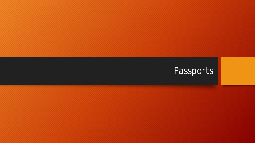# Passports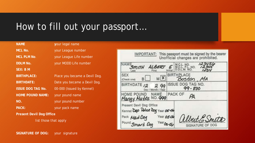## How to fill out your passport…

#### **NAME y**our legal name **MCL No.** your League number **MCL PLM No.** your League Life number **DDLM No. your MODD Life number SEX: B M BIRTHPLACE:** Place you became a Devil Dog. **BIRTHDATE:** Date you became a Devil Dog. **ISSUE DOG TAG No. 00-000 (Issued by Kennel) HOME POUND NAME:** your pound name **NO.** your pound number PACK: your pack name **Present Devil Dog Office**

list those that apply

**IMPORTANT:** This passport must be signed by the bearer Unofficial changes are prohibited. **SEX** . MA Check one) **CONTRACT** SSUE DOG TAG NO. **BIRTHDAT** 99 - 800 PACK OF  $A$ Present Devil Dog Office Deo Holice Dog Year 05-04 Pack Pour Smart Dog

**SIGNATURE OF DOG:** your signature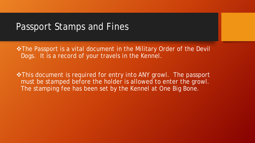#### Passport Stamps and Fines

 $\cdot$  **The Passport is a vital document in the Military Order of the Devil** Dogs. It is a record of your travels in the Kennel.

 $\cdot$  **This document is required for entry into ANY growl. The passport** must be stamped before the holder is allowed to enter the growl. The stamping fee has been set by the Kennel at One Big Bone.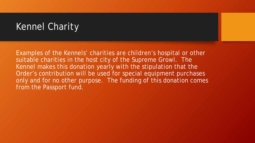# Kennel Charity

Examples of the Kennels' charities are children's hospital or other suitable charities in the host city of the Supreme Growl. The Kennel makes this donation yearly with the stipulation that the Order's contribution will be used for special equipment purchases only and for no other purpose. The funding of this donation comes from the Passport fund.